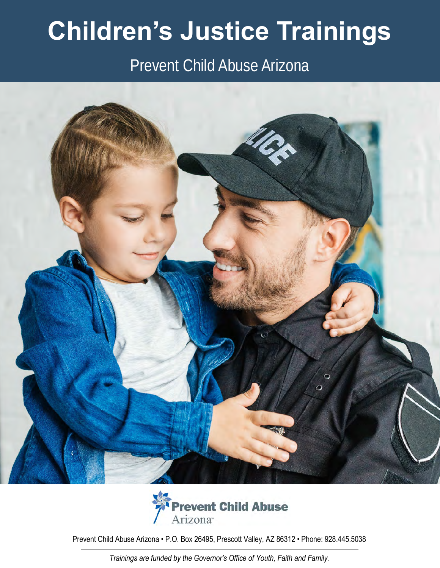# **Children's Justice Trainings**

# Prevent Child Abuse Arizona





Prevent Child Abuse Arizona • P.O. Box 26495, Prescott Valley, AZ 86312 • Phone: 928.445.5038

*Trainings are funded by the Governor's Office of Youth, Faith and Family.*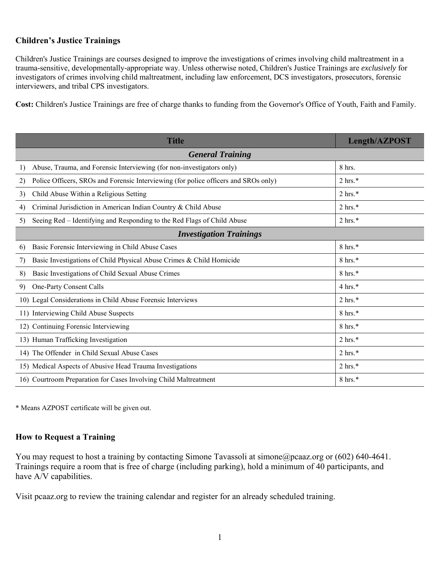# **Children's Justice Trainings**

Children's Justice Trainings are courses designed to improve the investigations of crimes involving child maltreatment in a trauma-sensitive, developmentally-appropriate way. Unless otherwise noted, Children's Justice Trainings are *exclusively* for investigators of crimes involving child maltreatment, including law enforcement, DCS investigators, prosecutors, forensic interviewers, and tribal CPS investigators.

**Cost:** Children's Justice Trainings are free of charge thanks to funding from the Governor's Office of Youth, Faith and Family.

| <b>Title</b>                                                                              | Length/AZPOST      |
|-------------------------------------------------------------------------------------------|--------------------|
| <b>General Training</b>                                                                   |                    |
| Abuse, Trauma, and Forensic Interviewing (for non-investigators only)<br>1)               | 8 hrs.             |
| Police Officers, SROs and Forensic Interviewing (for police officers and SROs only)<br>2) | $2 \text{ hrs.}^*$ |
| Child Abuse Within a Religious Setting<br>3)                                              | $2 \text{ hrs.}^*$ |
| Criminal Jurisdiction in American Indian Country & Child Abuse<br>4)                      | $2 \text{ hrs.}^*$ |
| Seeing Red – Identifying and Responding to the Red Flags of Child Abuse<br>5)             | $2 \text{ hrs.}^*$ |
| <b>Investigation Trainings</b>                                                            |                    |
| Basic Forensic Interviewing in Child Abuse Cases<br>6)                                    | $8 \text{ hrs.}^*$ |
| Basic Investigations of Child Physical Abuse Crimes & Child Homicide<br>7)                | $8 \text{ hrs.}^*$ |
| Basic Investigations of Child Sexual Abuse Crimes<br>8)                                   | 8 hrs.*            |
| One-Party Consent Calls<br>9)                                                             | $4 \text{ hrs.}$ * |
| 10) Legal Considerations in Child Abuse Forensic Interviews                               | $2 \text{ hrs.}^*$ |
| 11) Interviewing Child Abuse Suspects                                                     | $8 \text{ hrs.}^*$ |
| 12) Continuing Forensic Interviewing                                                      | $8 \text{ hrs.}^*$ |
| 13) Human Trafficking Investigation                                                       | $2 \text{ hrs.}^*$ |
| 14) The Offender in Child Sexual Abuse Cases                                              | $2 \text{ hrs.}^*$ |
| 15) Medical Aspects of Abusive Head Trauma Investigations                                 | $2 \text{ hrs.}^*$ |
| 16) Courtroom Preparation for Cases Involving Child Maltreatment                          | $8 \text{ hrs.}^*$ |

\* Means AZPOST certificate will be given out.

# **How to Request a Training**

You may request to host a training by contacting Simone Tavassoli at simone@pcaaz.org or (602) 640-4641. Trainings require a room that is free of charge (including parking), hold a minimum of 40 participants, and have A/V capabilities.

Visit pcaaz.org to review the training calendar and register for an already scheduled training.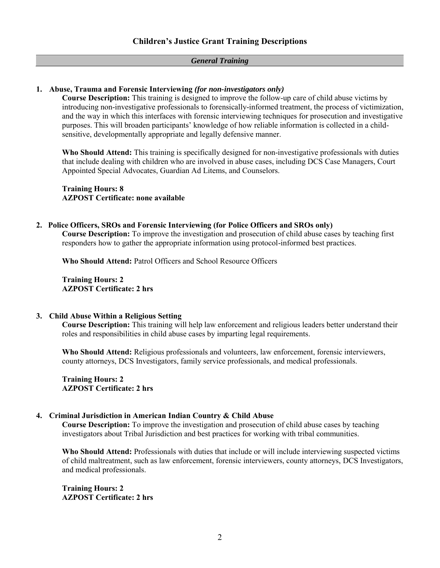# *General Training*

# **1. Abuse, Trauma and Forensic Interviewing** *(for non-investigators only)*

**Course Description:** This training is designed to improve the follow-up care of child abuse victims by introducing non-investigative professionals to forensically-informed treatment, the process of victimization, and the way in which this interfaces with forensic interviewing techniques for prosecution and investigative purposes. This will broaden participants' knowledge of how reliable information is collected in a childsensitive, developmentally appropriate and legally defensive manner.

**Who Should Attend:** This training is specifically designed for non-investigative professionals with duties that include dealing with children who are involved in abuse cases, including DCS Case Managers, Court Appointed Special Advocates, Guardian Ad Litems, and Counselors.

**Training Hours: 8 AZPOST Certificate: none available** 

#### **2. Police Officers, SROs and Forensic Interviewing (for Police Officers and SROs only)**

**Course Description:** To improve the investigation and prosecution of child abuse cases by teaching first responders how to gather the appropriate information using protocol-informed best practices.

**Who Should Attend:** Patrol Officers and School Resource Officers

**Training Hours: 2 AZPOST Certificate: 2 hrs** 

#### **3. Child Abuse Within a Religious Setting**

**Course Description:** This training will help law enforcement and religious leaders better understand their roles and responsibilities in child abuse cases by imparting legal requirements.

**Who Should Attend:** Religious professionals and volunteers, law enforcement, forensic interviewers, county attorneys, DCS Investigators, family service professionals, and medical professionals.

**Training Hours: 2 AZPOST Certificate: 2 hrs** 

#### **4. Criminal Jurisdiction in American Indian Country & Child Abuse**

**Course Description:** To improve the investigation and prosecution of child abuse cases by teaching investigators about Tribal Jurisdiction and best practices for working with tribal communities.

**Who Should Attend:** Professionals with duties that include or will include interviewing suspected victims of child maltreatment, such as law enforcement, forensic interviewers, county attorneys, DCS Investigators, and medical professionals.

**Training Hours: 2 AZPOST Certificate: 2 hrs**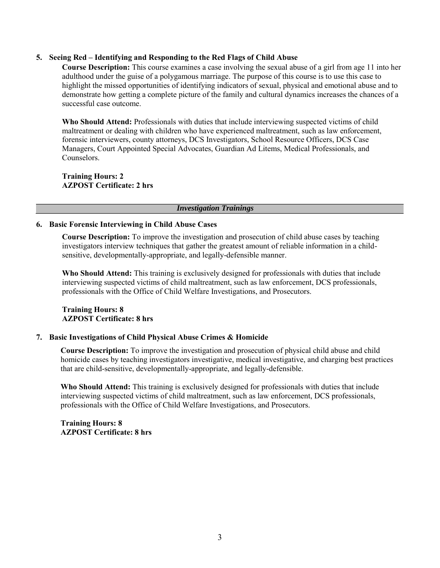#### **5. Seeing Red – Identifying and Responding to the Red Flags of Child Abuse**

**Course Description:** This course examines a case involving the sexual abuse of a girl from age 11 into her adulthood under the guise of a polygamous marriage. The purpose of this course is to use this case to highlight the missed opportunities of identifying indicators of sexual, physical and emotional abuse and to demonstrate how getting a complete picture of the family and cultural dynamics increases the chances of a successful case outcome.

**Who Should Attend:** Professionals with duties that include interviewing suspected victims of child maltreatment or dealing with children who have experienced maltreatment, such as law enforcement, forensic interviewers, county attorneys, DCS Investigators, School Resource Officers, DCS Case Managers, Court Appointed Special Advocates, Guardian Ad Litems, Medical Professionals, and Counselors.

**Training Hours: 2 AZPOST Certificate: 2 hrs** 

#### *Investigation Trainings*

#### **6. Basic Forensic Interviewing in Child Abuse Cases**

**Course Description:** To improve the investigation and prosecution of child abuse cases by teaching investigators interview techniques that gather the greatest amount of reliable information in a childsensitive, developmentally-appropriate, and legally-defensible manner.

**Who Should Attend:** This training is exclusively designed for professionals with duties that include interviewing suspected victims of child maltreatment, such as law enforcement, DCS professionals, professionals with the Office of Child Welfare Investigations, and Prosecutors.

#### **Training Hours: 8 AZPOST Certificate: 8 hrs**

#### **7. Basic Investigations of Child Physical Abuse Crimes & Homicide**

**Course Description:** To improve the investigation and prosecution of physical child abuse and child homicide cases by teaching investigators investigative, medical investigative, and charging best practices that are child-sensitive, developmentally-appropriate, and legally-defensible.

**Who Should Attend:** This training is exclusively designed for professionals with duties that include interviewing suspected victims of child maltreatment, such as law enforcement, DCS professionals, professionals with the Office of Child Welfare Investigations, and Prosecutors.

**Training Hours: 8 AZPOST Certificate: 8 hrs**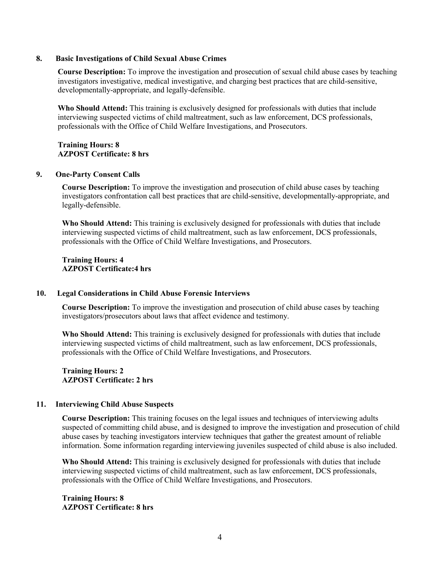#### **8. Basic Investigations of Child Sexual Abuse Crimes**

**Course Description:** To improve the investigation and prosecution of sexual child abuse cases by teaching investigators investigative, medical investigative, and charging best practices that are child-sensitive, developmentally-appropriate, and legally-defensible.

**Who Should Attend:** This training is exclusively designed for professionals with duties that include interviewing suspected victims of child maltreatment, such as law enforcement, DCS professionals, professionals with the Office of Child Welfare Investigations, and Prosecutors.

#### **Training Hours: 8 AZPOST Certificate: 8 hrs**

#### **9. One-Party Consent Calls**

**Course Description:** To improve the investigation and prosecution of child abuse cases by teaching investigators confrontation call best practices that are child-sensitive, developmentally-appropriate, and legally-defensible.

**Who Should Attend:** This training is exclusively designed for professionals with duties that include interviewing suspected victims of child maltreatment, such as law enforcement, DCS professionals, professionals with the Office of Child Welfare Investigations, and Prosecutors.

**Training Hours: 4 AZPOST Certificate:4 hrs** 

#### **10. Legal Considerations in Child Abuse Forensic Interviews**

**Course Description:** To improve the investigation and prosecution of child abuse cases by teaching investigators/prosecutors about laws that affect evidence and testimony.

**Who Should Attend:** This training is exclusively designed for professionals with duties that include interviewing suspected victims of child maltreatment, such as law enforcement, DCS professionals, professionals with the Office of Child Welfare Investigations, and Prosecutors.

**Training Hours: 2 AZPOST Certificate: 2 hrs** 

#### **11. Interviewing Child Abuse Suspects**

**Course Description:** This training focuses on the legal issues and techniques of interviewing adults suspected of committing child abuse, and is designed to improve the investigation and prosecution of child abuse cases by teaching investigators interview techniques that gather the greatest amount of reliable information. Some information regarding interviewing juveniles suspected of child abuse is also included.

**Who Should Attend:** This training is exclusively designed for professionals with duties that include interviewing suspected victims of child maltreatment, such as law enforcement, DCS professionals, professionals with the Office of Child Welfare Investigations, and Prosecutors.

# **Training Hours: 8 AZPOST Certificate: 8 hrs**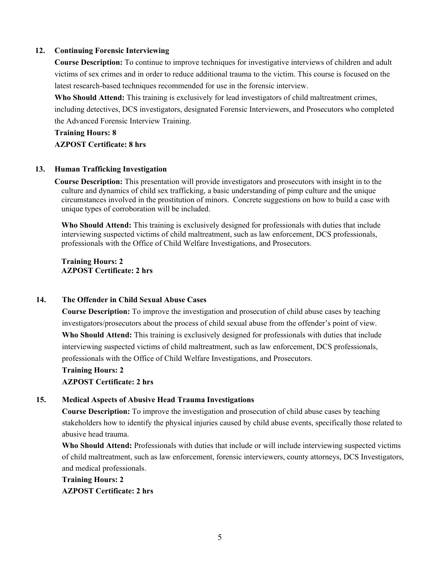## **12. Continuing Forensic Interviewing**

**Course Description:** To continue to improve techniques for investigative interviews of children and adult victims of sex crimes and in order to reduce additional trauma to the victim. This course is focused on the latest research-based techniques recommended for use in the forensic interview.

**Who Should Attend:** This training is exclusively for lead investigators of child maltreatment crimes, including detectives, DCS investigators, designated Forensic Interviewers, and Prosecutors who completed the Advanced Forensic Interview Training.

**Training Hours: 8 AZPOST Certificate: 8 hrs**

# **13. Human Trafficking Investigation**

culture and dynamics of child sex trafficking, a basic understanding of pimp culture and the unique circumstances involved in the prostitution of minors. Concrete suggestions on how to build a case with unique types of corroboration will be included. **Course Description:** This presentation will provide investigators and prosecutors with insight in to the

**Who Should Attend:** This training is exclusively designed for professionals with duties that include interviewing suspected victims of child maltreatment, such as law enforcement, DCS professionals, professionals with the Office of Child Welfare Investigations, and Prosecutors.

**Training Hours: 2 AZPOST Certificate: 2 hrs** 

# **14. The Offender in Child Sexual Abuse Cases**

**Course Description:** To improve the investigation and prosecution of child abuse cases by teaching investigators/prosecutors about the process of child sexual abuse from the offender's point of view. **Who Should Attend:** This training is exclusively designed for professionals with duties that include interviewing suspected victims of child maltreatment, such as law enforcement, DCS professionals, professionals with the Office of Child Welfare Investigations, and Prosecutors.

**Training Hours: 2 AZPOST Certificate: 2 hrs**

# **15. Medical Aspects of Abusive Head Trauma Investigations**

**Course Description:** To improve the investigation and prosecution of child abuse cases by teaching stakeholders how to identify the physical injuries caused by child abuse events, specifically those related to abusive head trauma.

Who Should Attend: Professionals with duties that include or will include interviewing suspected victims of child maltreatment, such as law enforcement, forensic interviewers, county attorneys, DCS Investigators, and medical professionals.

**Training Hours: 2 AZPOST Certificate: 2 hrs**